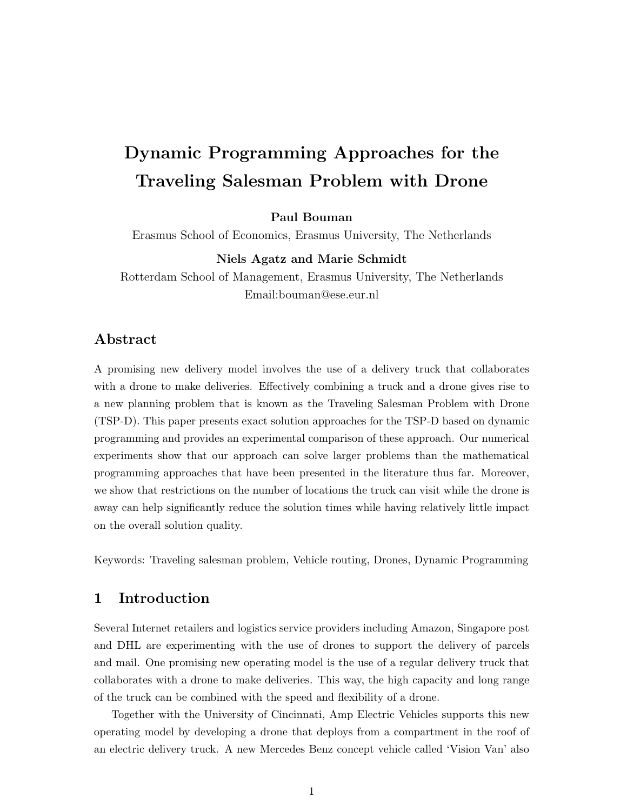# Dynamic Programming Approaches for the Traveling Salesman Problem with Drone

Paul Bouman

Erasmus School of Economics, Erasmus University, The Netherlands

#### Niels Agatz and Marie Schmidt

Rotterdam School of Management, Erasmus University, The Netherlands Email:bouman@ese.eur.nl

# Abstract

A promising new delivery model involves the use of a delivery truck that collaborates with a drone to make deliveries. Effectively combining a truck and a drone gives rise to a new planning problem that is known as the Traveling Salesman Problem with Drone (TSP-D). This paper presents exact solution approaches for the TSP-D based on dynamic programming and provides an experimental comparison of these approach. Our numerical experiments show that our approach can solve larger problems than the mathematical programming approaches that have been presented in the literature thus far. Moreover, we show that restrictions on the number of locations the truck can visit while the drone is away can help significantly reduce the solution times while having relatively little impact on the overall solution quality.

Keywords: Traveling salesman problem, Vehicle routing, Drones, Dynamic Programming

# 1 Introduction

Several Internet retailers and logistics service providers including Amazon, Singapore post and DHL are experimenting with the use of drones to support the delivery of parcels and mail. One promising new operating model is the use of a regular delivery truck that collaborates with a drone to make deliveries. This way, the high capacity and long range of the truck can be combined with the speed and flexibility of a drone.

Together with the University of Cincinnati, Amp Electric Vehicles supports this new operating model by developing a drone that deploys from a compartment in the roof of an electric delivery truck. A new Mercedes Benz concept vehicle called 'Vision Van' also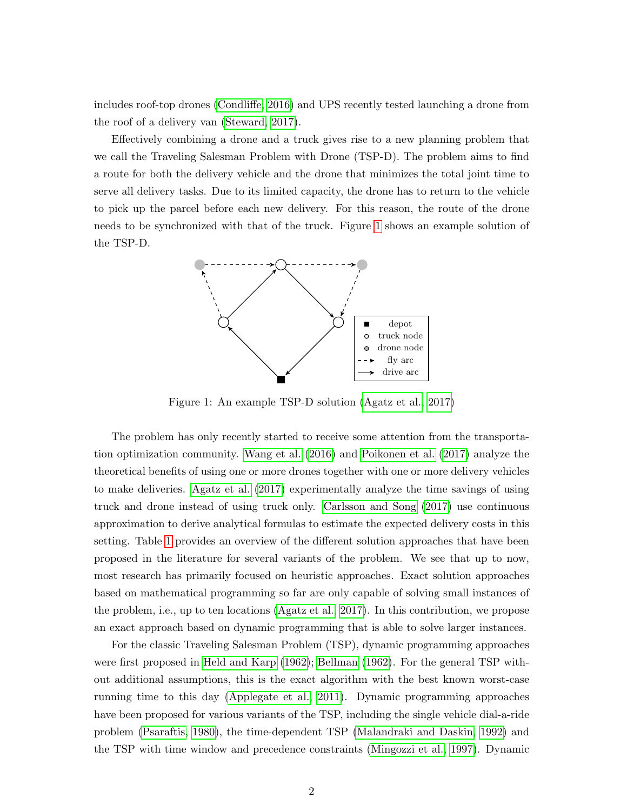includes roof-top drones [\(Condliffe, 2016\)](#page-21-0) and UPS recently tested launching a drone from the roof of a delivery van [\(Steward, 2017\)](#page-23-0).

Effectively combining a drone and a truck gives rise to a new planning problem that we call the Traveling Salesman Problem with Drone (TSP-D). The problem aims to find a route for both the delivery vehicle and the drone that minimizes the total joint time to serve all delivery tasks. Due to its limited capacity, the drone has to return to the vehicle to pick up the parcel before each new delivery. For this reason, the route of the drone needs to be synchronized with that of the truck. Figure [1](#page-1-0) shows an example solution of the TSP-D.

<span id="page-1-0"></span>

Figure 1: An example TSP-D solution [\(Agatz et al., 2017\)](#page-21-1)

The problem has only recently started to receive some attention from the transportation optimization community. [Wang et al.](#page-23-1) [\(2016\)](#page-23-1) and [Poikonen et al.](#page-22-0) [\(2017\)](#page-22-0) analyze the theoretical benefits of using one or more drones together with one or more delivery vehicles to make deliveries. [Agatz et al.](#page-21-1) [\(2017\)](#page-21-1) experimentally analyze the time savings of using truck and drone instead of using truck only. [Carlsson and Song](#page-21-2) [\(2017\)](#page-21-2) use continuous approximation to derive analytical formulas to estimate the expected delivery costs in this setting. Table [1](#page-2-0) provides an overview of the different solution approaches that have been proposed in the literature for several variants of the problem. We see that up to now, most research has primarily focused on heuristic approaches. Exact solution approaches based on mathematical programming so far are only capable of solving small instances of the problem, i.e., up to ten locations [\(Agatz et al., 2017\)](#page-21-1). In this contribution, we propose an exact approach based on dynamic programming that is able to solve larger instances.

For the classic Traveling Salesman Problem (TSP), dynamic programming approaches were first proposed in [Held and Karp](#page-22-1) [\(1962\)](#page-22-1); [Bellman](#page-21-3) [\(1962\)](#page-21-3). For the general TSP without additional assumptions, this is the exact algorithm with the best known worst-case running time to this day [\(Applegate et al., 2011\)](#page-21-4). Dynamic programming approaches have been proposed for various variants of the TSP, including the single vehicle dial-a-ride problem [\(Psaraftis, 1980\)](#page-23-2), the time-dependent TSP [\(Malandraki and Daskin, 1992\)](#page-22-2) and the TSP with time window and precedence constraints [\(Mingozzi et al., 1997\)](#page-22-3). Dynamic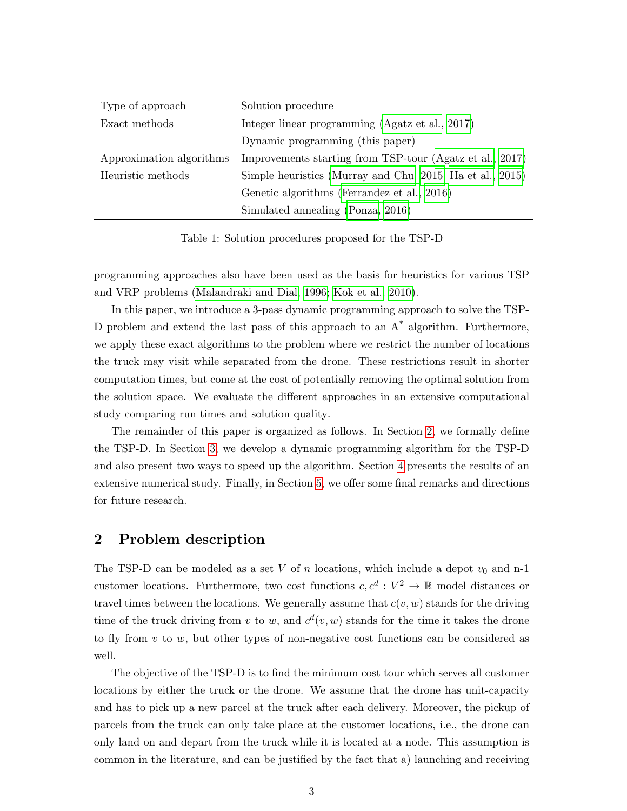<span id="page-2-0"></span>

| Type of approach         | Solution procedure                                        |
|--------------------------|-----------------------------------------------------------|
| Exact methods            | Integer linear programming (Agatz et al., 2017)           |
|                          | Dynamic programming (this paper)                          |
| Approximation algorithms | Improvements starting from TSP-tour (Agatz et al., 2017)  |
| Heuristic methods        | Simple heuristics (Murray and Chu, 2015; Ha et al., 2015) |
|                          | Genetic algorithms (Ferrandez et al., 2016)               |
|                          | Simulated annealing (Ponza, 2016)                         |

Table 1: Solution procedures proposed for the TSP-D

programming approaches also have been used as the basis for heuristics for various TSP and VRP problems [\(Malandraki and Dial, 1996;](#page-22-6) [Kok et al., 2010\)](#page-22-7).

In this paper, we introduce a 3-pass dynamic programming approach to solve the TSP-D problem and extend the last pass of this approach to an  $A^*$  algorithm. Furthermore, we apply these exact algorithms to the problem where we restrict the number of locations the truck may visit while separated from the drone. These restrictions result in shorter computation times, but come at the cost of potentially removing the optimal solution from the solution space. We evaluate the different approaches in an extensive computational study comparing run times and solution quality.

The remainder of this paper is organized as follows. In Section [2,](#page-2-1) we formally define the TSP-D. In Section [3,](#page-3-0) we develop a dynamic programming algorithm for the TSP-D and also present two ways to speed up the algorithm. Section [4](#page-14-0) presents the results of an extensive numerical study. Finally, in Section [5,](#page-20-0) we offer some final remarks and directions for future research.

### <span id="page-2-1"></span>2 Problem description

The TSP-D can be modeled as a set V of n locations, which include a depot  $v_0$  and n-1 customer locations. Furthermore, two cost functions  $c, c^d : V^2 \to \mathbb{R}$  model distances or travel times between the locations. We generally assume that  $c(v, w)$  stands for the driving time of the truck driving from v to w, and  $c^d(v, w)$  stands for the time it takes the drone to fly from  $v$  to  $w$ , but other types of non-negative cost functions can be considered as well.

The objective of the TSP-D is to find the minimum cost tour which serves all customer locations by either the truck or the drone. We assume that the drone has unit-capacity and has to pick up a new parcel at the truck after each delivery. Moreover, the pickup of parcels from the truck can only take place at the customer locations, i.e., the drone can only land on and depart from the truck while it is located at a node. This assumption is common in the literature, and can be justified by the fact that a) launching and receiving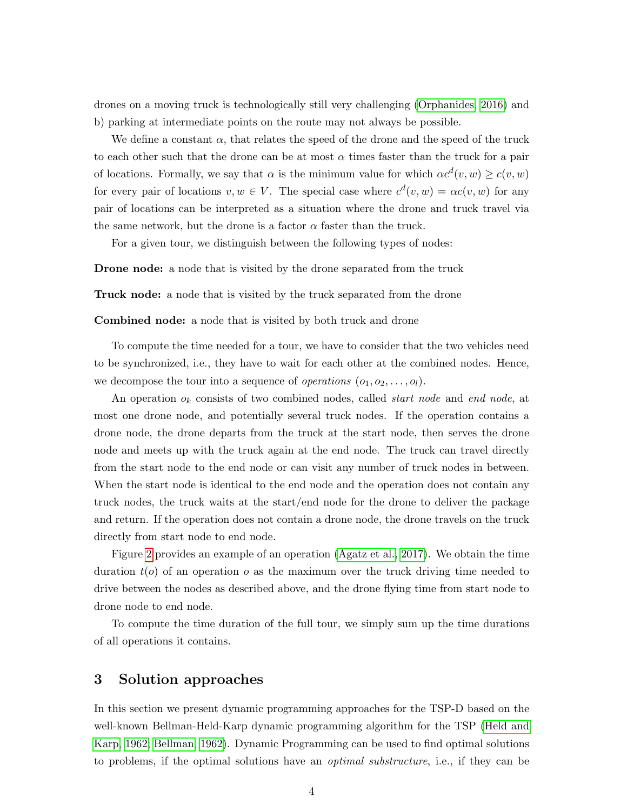drones on a moving truck is technologically still very challenging [\(Orphanides, 2016\)](#page-22-8) and b) parking at intermediate points on the route may not always be possible.

We define a constant  $\alpha$ , that relates the speed of the drone and the speed of the truck to each other such that the drone can be at most  $\alpha$  times faster than the truck for a pair of locations. Formally, we say that  $\alpha$  is the minimum value for which  $\alpha c^d(v, w) \geq c(v, w)$ for every pair of locations  $v, w \in V$ . The special case where  $c^d(v, w) = \alpha c(v, w)$  for any pair of locations can be interpreted as a situation where the drone and truck travel via the same network, but the drone is a factor  $\alpha$  faster than the truck.

For a given tour, we distinguish between the following types of nodes:

**Drone node:** a node that is visited by the drone separated from the truck

Truck node: a node that is visited by the truck separated from the drone

Combined node: a node that is visited by both truck and drone

To compute the time needed for a tour, we have to consider that the two vehicles need to be synchronized, i.e., they have to wait for each other at the combined nodes. Hence, we decompose the tour into a sequence of *operations*  $(o_1, o_2, \ldots, o_l)$ .

An operation  $o_k$  consists of two combined nodes, called *start node* and *end node*, at most one drone node, and potentially several truck nodes. If the operation contains a drone node, the drone departs from the truck at the start node, then serves the drone node and meets up with the truck again at the end node. The truck can travel directly from the start node to the end node or can visit any number of truck nodes in between. When the start node is identical to the end node and the operation does not contain any truck nodes, the truck waits at the start/end node for the drone to deliver the package and return. If the operation does not contain a drone node, the drone travels on the truck directly from start node to end node.

Figure [2](#page-4-0) provides an example of an operation [\(Agatz et al., 2017\)](#page-21-1). We obtain the time duration  $t(\rho)$  of an operation  $\rho$  as the maximum over the truck driving time needed to drive between the nodes as described above, and the drone flying time from start node to drone node to end node.

To compute the time duration of the full tour, we simply sum up the time durations of all operations it contains.

# <span id="page-3-0"></span>3 Solution approaches

In this section we present dynamic programming approaches for the TSP-D based on the well-known Bellman-Held-Karp dynamic programming algorithm for the TSP [\(Held and](#page-22-1) [Karp, 1962;](#page-22-1) [Bellman, 1962\)](#page-21-3). Dynamic Programming can be used to find optimal solutions to problems, if the optimal solutions have an optimal substructure, i.e., if they can be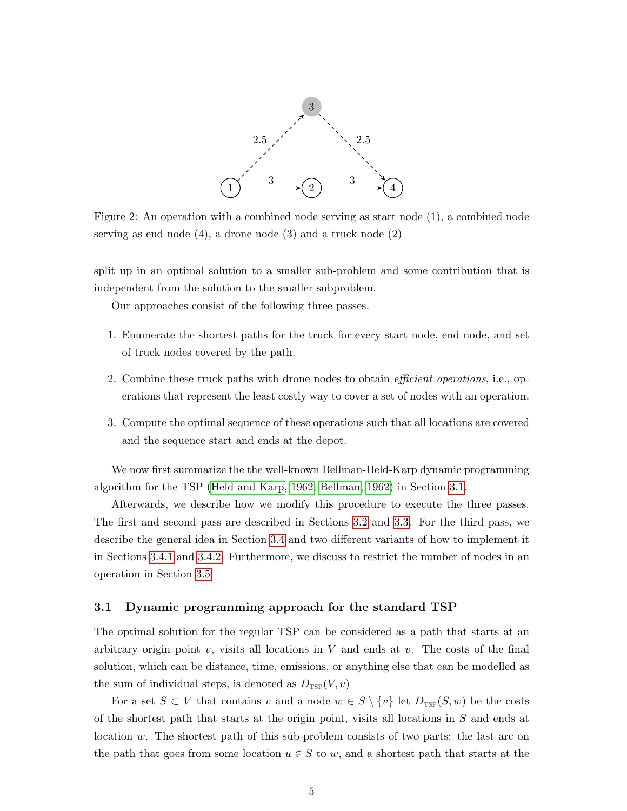<span id="page-4-0"></span>

Figure 2: An operation with a combined node serving as start node (1), a combined node serving as end node (4), a drone node (3) and a truck node (2)

split up in an optimal solution to a smaller sub-problem and some contribution that is independent from the solution to the smaller subproblem.

Our approaches consist of the following three passes.

- 1. Enumerate the shortest paths for the truck for every start node, end node, and set of truck nodes covered by the path.
- 2. Combine these truck paths with drone nodes to obtain efficient operations, i.e., operations that represent the least costly way to cover a set of nodes with an operation.
- 3. Compute the optimal sequence of these operations such that all locations are covered and the sequence start and ends at the depot.

We now first summarize the the well-known Bellman-Held-Karp dynamic programming algorithm for the TSP [\(Held and Karp, 1962;](#page-22-1) [Bellman, 1962\)](#page-21-3) in Section [3.1.](#page-4-1)

Afterwards, we describe how we modify this procedure to execute the three passes. The first and second pass are described in Sections [3.2](#page-5-0) and [3.3.](#page-5-1) For the third pass, we describe the general idea in Section [3.4](#page-7-0) and two different variants of how to implement it in Sections [3.4.1](#page-8-0) and [3.4.2.](#page-10-0) Furthermore, we discuss to restrict the number of nodes in an operation in Section [3.5.](#page-10-1)

#### <span id="page-4-1"></span>3.1 Dynamic programming approach for the standard TSP

The optimal solution for the regular TSP can be considered as a path that starts at an arbitrary origin point v, visits all locations in V and ends at v. The costs of the final solution, which can be distance, time, emissions, or anything else that can be modelled as the sum of individual steps, is denoted as  $D_{\text{TSP}}(V, v)$ 

For a set  $S \subset V$  that contains v and a node  $w \in S \setminus \{v\}$  let  $D_{\text{TSP}}(S, w)$  be the costs of the shortest path that starts at the origin point, visits all locations in S and ends at location w. The shortest path of this sub-problem consists of two parts: the last arc on the path that goes from some location  $u \in S$  to w, and a shortest path that starts at the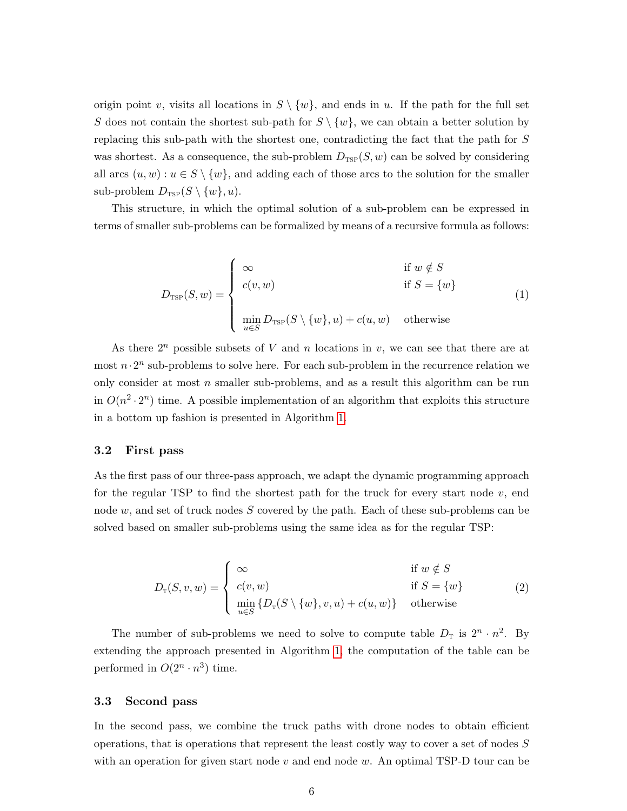origin point v, visits all locations in  $S \setminus \{w\}$ , and ends in u. If the path for the full set S does not contain the shortest sub-path for  $S \setminus \{w\}$ , we can obtain a better solution by replacing this sub-path with the shortest one, contradicting the fact that the path for S was shortest. As a consequence, the sub-problem  $D_{\text{TSP}}(S, w)$  can be solved by considering all arcs  $(u, w) : u \in S \setminus \{w\}$ , and adding each of those arcs to the solution for the smaller sub-problem  $D_{\text{TSP}}(S \setminus \{w\}, u)$ .

This structure, in which the optimal solution of a sub-problem can be expressed in terms of smaller sub-problems can be formalized by means of a recursive formula as follows:

$$
D_{\text{TSP}}(S, w) = \begin{cases} \infty & \text{if } w \notin S \\ c(v, w) & \text{if } S = \{w\} \\ \min_{u \in S} D_{\text{TSP}}(S \setminus \{w\}, u) + c(u, w) & \text{otherwise} \end{cases}
$$
(1)

As there  $2^n$  possible subsets of V and n locations in v, we can see that there are at most  $n \cdot 2^n$  sub-problems to solve here. For each sub-problem in the recurrence relation we only consider at most  $n$  smaller sub-problems, and as a result this algorithm can be run in  $O(n^2 \cdot 2^n)$  time. A possible implementation of an algorithm that exploits this structure in a bottom up fashion is presented in Algorithm [1.](#page-6-0)

#### <span id="page-5-0"></span>3.2 First pass

As the first pass of our three-pass approach, we adapt the dynamic programming approach for the regular TSP to find the shortest path for the truck for every start node  $v$ , end node w, and set of truck nodes  $S$  covered by the path. Each of these sub-problems can be solved based on smaller sub-problems using the same idea as for the regular TSP:

$$
D_{\mathbf{r}}(S, v, w) = \begin{cases} \infty & \text{if } w \notin S \\ c(v, w) & \text{if } S = \{w\} \\ \min_{u \in S} \{D_{\mathbf{r}}(S \setminus \{w\}, v, u) + c(u, w)\} & \text{otherwise} \end{cases}
$$
(2)

The number of sub-problems we need to solve to compute table  $D<sub>T</sub>$  is  $2<sup>n</sup> \cdot n<sup>2</sup>$ . By extending the approach presented in Algorithm [1,](#page-6-0) the computation of the table can be performed in  $O(2^n \cdot n^3)$  time.

#### <span id="page-5-1"></span>3.3 Second pass

In the second pass, we combine the truck paths with drone nodes to obtain efficient operations, that is operations that represent the least costly way to cover a set of nodes S with an operation for given start node  $v$  and end node  $w$ . An optimal TSP-D tour can be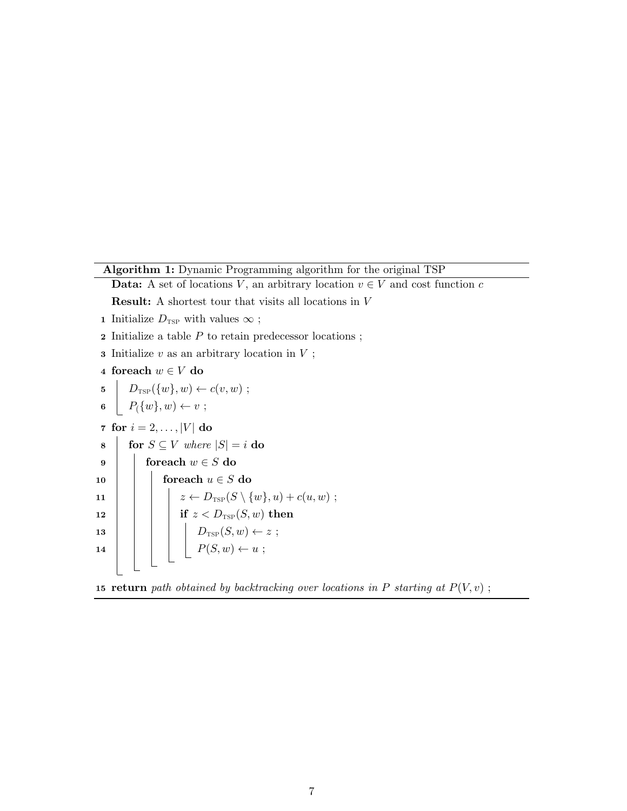Algorithm 1: Dynamic Programming algorithm for the original TSP

<span id="page-6-0"></span>Data: A set of locations V, an arbitrary location  $v \in V$  and cost function c **Result:** A shortest tour that visits all locations in  $V$ 

- 1 Initialize  $D_{\text{\tiny TSP}}$  with values  $\infty$  ;
- **2** Initialize a table  $P$  to retain predecessor locations ;
- **3** Initialize  $v$  as an arbitrary location in  $V$ ;
- 4 for<br>each  $w \in V$  do

$$
5 \mid D_{\text{TSP}}(\{w\}, w) \leftarrow c(v, w) ;
$$

- 6  $P_{(w\}, w) \leftarrow v$ ;
- 7 for  $i = 2, ..., |V|$  do

 $\textbf{s} \quad | \quad \textbf{for} \; S \subseteq V \; \textit{where} \; |S| = i \; \textbf{do}$ 

9 foreach w ∈ S do 10 foreach u ∈ S do 11 z ← DTSP(S \ {w}, u) + c(u, w) ; 12 if z < DTSP(S, w) then 13 DTSP(S, w) ← z ; 14 P(S, w) ← u ; 

15 return path obtained by backtracking over locations in  $P$  starting at  $P(V, v)$ ;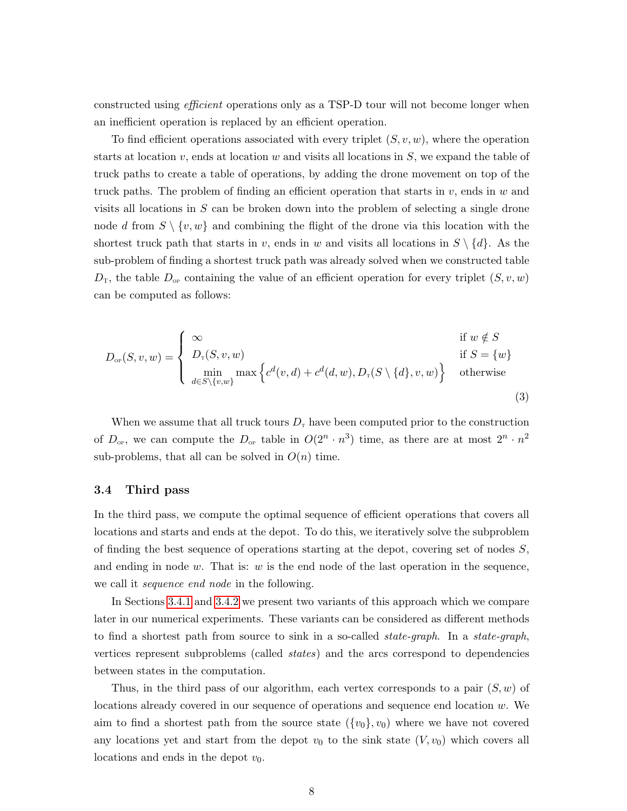constructed using efficient operations only as a TSP-D tour will not become longer when an inefficient operation is replaced by an efficient operation.

To find efficient operations associated with every triplet  $(S, v, w)$ , where the operation starts at location v, ends at location w and visits all locations in  $S$ , we expand the table of truck paths to create a table of operations, by adding the drone movement on top of the truck paths. The problem of finding an efficient operation that starts in  $v$ , ends in  $w$  and visits all locations in  $S$  can be broken down into the problem of selecting a single drone node d from  $S \setminus \{v, w\}$  and combining the flight of the drone via this location with the shortest truck path that starts in v, ends in w and visits all locations in  $S \setminus \{d\}$ . As the sub-problem of finding a shortest truck path was already solved when we constructed table  $D_{\rm T}$ , the table  $D_{\rm op}$  containing the value of an efficient operation for every triplet  $(S, v, w)$ can be computed as follows:

$$
D_{\text{or}}(S, v, w) = \begin{cases} \infty & \text{if } w \notin S \\ D_{\text{r}}(S, v, w) & \text{if } S = \{w\} \\ \min_{d \in S \setminus \{v, w\}} \max \left\{c^d(v, d) + c^d(d, w), D_{\text{r}}(S \setminus \{d\}, v, w)\right\} & \text{otherwise} \end{cases}
$$
(3)

When we assume that all truck tours  $D<sub>r</sub>$  have been computed prior to the construction of  $D_{op}$ , we can compute the  $D_{op}$  table in  $O(2^n \cdot n^3)$  time, as there are at most  $2^n \cdot n^2$ sub-problems, that all can be solved in  $O(n)$  time.

#### <span id="page-7-0"></span>3.4 Third pass

In the third pass, we compute the optimal sequence of efficient operations that covers all locations and starts and ends at the depot. To do this, we iteratively solve the subproblem of finding the best sequence of operations starting at the depot, covering set of nodes S, and ending in node  $w$ . That is:  $w$  is the end node of the last operation in the sequence, we call it sequence end node in the following.

In Sections [3.4.1](#page-8-0) and [3.4.2](#page-10-0) we present two variants of this approach which we compare later in our numerical experiments. These variants can be considered as different methods to find a shortest path from source to sink in a so-called *state-graph*. In a *state-graph*, vertices represent subproblems (called states) and the arcs correspond to dependencies between states in the computation.

Thus, in the third pass of our algorithm, each vertex corresponds to a pair  $(S, w)$  of locations already covered in our sequence of operations and sequence end location  $w$ . We aim to find a shortest path from the source state  $({v_0}, v_0)$  where we have not covered any locations yet and start from the depot  $v_0$  to the sink state  $(V, v_0)$  which covers all locations and ends in the depot  $v_0$ .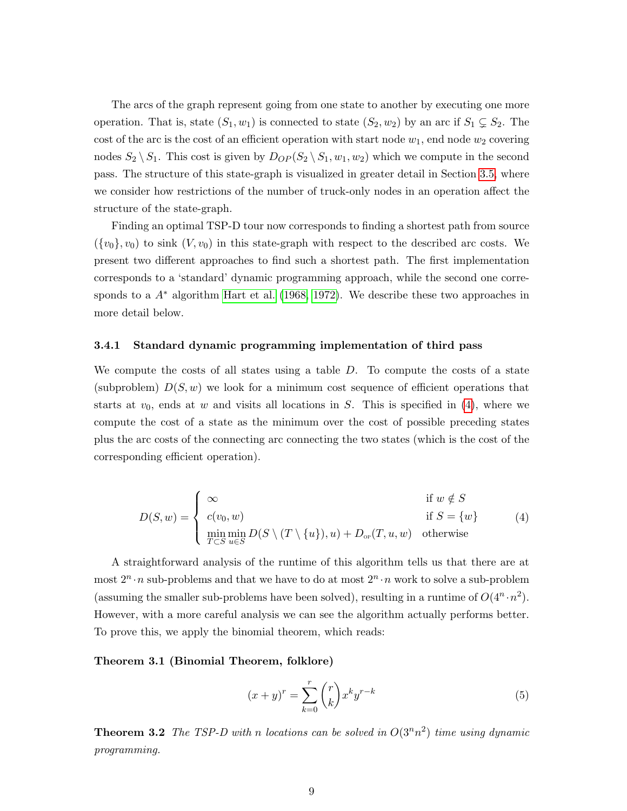The arcs of the graph represent going from one state to another by executing one more operation. That is, state  $(S_1, w_1)$  is connected to state  $(S_2, w_2)$  by an arc if  $S_1 \subsetneq S_2$ . The cost of the arc is the cost of an efficient operation with start node  $w_1$ , end node  $w_2$  covering nodes  $S_2 \setminus S_1$ . This cost is given by  $D_{OP}(S_2 \setminus S_1, w_1, w_2)$  which we compute in the second pass. The structure of this state-graph is visualized in greater detail in Section [3.5,](#page-10-1) where we consider how restrictions of the number of truck-only nodes in an operation affect the structure of the state-graph.

Finding an optimal TSP-D tour now corresponds to finding a shortest path from source  $({v_0}, v_0)$  to sink  $(V, v_0)$  in this state-graph with respect to the described arc costs. We present two different approaches to find such a shortest path. The first implementation corresponds to a 'standard' dynamic programming approach, while the second one corresponds to a  $A^*$  algorithm [Hart et al.](#page-22-9) [\(1968,](#page-22-9) [1972\)](#page-22-10). We describe these two approaches in more detail below.

#### <span id="page-8-0"></span>3.4.1 Standard dynamic programming implementation of third pass

We compute the costs of all states using a table  $D$ . To compute the costs of a state (subproblem)  $D(S, w)$  we look for a minimum cost sequence of efficient operations that starts at  $v_0$ , ends at w and visits all locations in S. This is specified in [\(4\)](#page-8-1), where we compute the cost of a state as the minimum over the cost of possible preceding states plus the arc costs of the connecting arc connecting the two states (which is the cost of the corresponding efficient operation).

$$
D(S, w) = \begin{cases} \infty & \text{if } w \notin S \\ c(v_0, w) & \text{if } S = \{w\} \\ \min_{T \subset S} \min_{u \in S} D(S \setminus (T \setminus \{u\}), u) + D_{\text{or}}(T, u, w) & \text{otherwise} \end{cases}
$$
(4)

A straightforward analysis of the runtime of this algorithm tells us that there are at most  $2^n \cdot n$  sub-problems and that we have to do at most  $2^n \cdot n$  work to solve a sub-problem (assuming the smaller sub-problems have been solved), resulting in a runtime of  $O(4^n \cdot n^2)$ . However, with a more careful analysis we can see the algorithm actually performs better. To prove this, we apply the binomial theorem, which reads:

#### Theorem 3.1 (Binomial Theorem, folklore)

<span id="page-8-1"></span>
$$
(x+y)^r = \sum_{k=0}^r \binom{r}{k} x^k y^{r-k}
$$
\n
$$
(5)
$$

**Theorem 3.2** The TSP-D with n locations can be solved in  $O(3^n n^2)$  time using dynamic programming.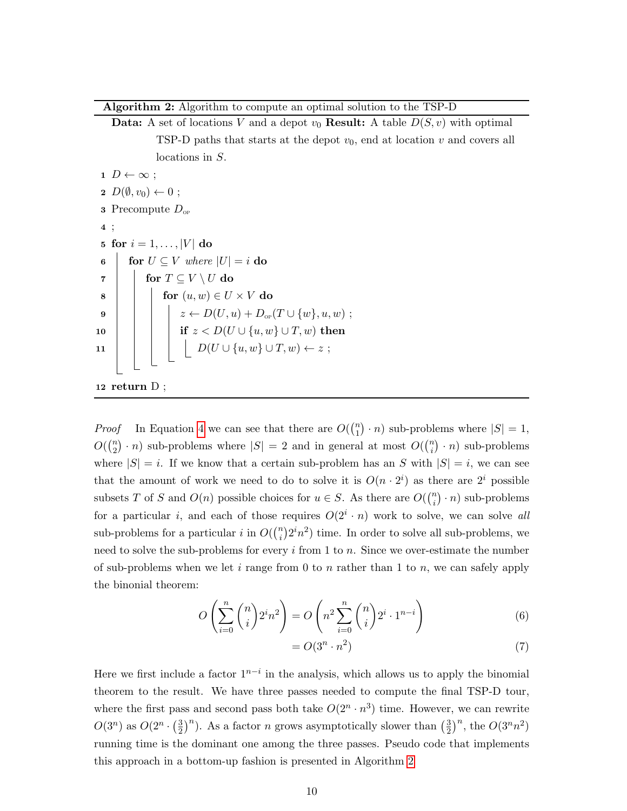Algorithm 2: Algorithm to compute an optimal solution to the TSP-D

<span id="page-9-0"></span>**Data:** A set of locations V and a depot  $v_0$  **Result:** A table  $D(S, v)$  with optimal TSP-D paths that starts at the depot  $v_0$ , end at location  $v$  and covers all locations in S.

1 
$$
D \leftarrow \infty
$$
 ;  
\n2  $D(\emptyset, v_0) \leftarrow 0$  ;  
\n3 **Precompute**  $D_{\text{OP}}$   
\n4 ;  
\n5 **for**  $i = 1, ..., |V|$  **do**  
\n6 **for**  $U \subseteq V$  *where*  $|U| = i$  **do**  
\n7 **for**  $T \subseteq V \setminus U$  **do**  
\n8 **for**  $(u, w) \in U \times V$  **do**  
\n9 **if**  $z \leftarrow D(U, u) + D_{\text{OP}}(T \cup \{w\}, u, w)$  ;  
\n10 **if**  $z < D(U \cup \{u, w\} \cup T, w)$  **then**  
\n11 **1 of**  $[U \cup \{u, w\} \cup T, w) \leftarrow z$  ;  
\n12 **return**  $D$ ;

*Proof* In Equation [4](#page-8-1) we can see that there are  $O(\binom{n}{1})$  $\binom{n}{1} \cdot n$  sub-problems where  $|S| = 1$ ,  $O(\binom{n}{2})$  $\binom{n}{2} \cdot n$ ) sub-problems where  $|S| = 2$  and in general at most  $O(\binom{n}{i})$  $\binom{n}{i} \cdot n$  sub-problems where  $|S| = i$ . If we know that a certain sub-problem has an S with  $|S| = i$ , we can see that the amount of work we need to do to solve it is  $O(n \cdot 2^i)$  as there are  $2^i$  possible subsets T of S and  $O(n)$  possible choices for  $u \in S$ . As there are  $O(n^{\frac{n}{s}})$  $\binom{n}{i} \cdot n$  sub-problems for a particular i, and each of those requires  $O(2^i \cdot n)$  work to solve, we can solve all sub-problems for a particular i in  $O(\binom{n}{i})$  $\binom{n}{i} 2^i n^2$ ) time. In order to solve all sub-problems, we need to solve the sub-problems for every  $i$  from 1 to n. Since we over-estimate the number of sub-problems when we let i range from 0 to n rather than 1 to n, we can safely apply the binonial theorem:

$$
O\left(\sum_{i=0}^{n} {n \choose i} 2^i n^2\right) = O\left(n^2 \sum_{i=0}^{n} {n \choose i} 2^i \cdot 1^{n-i}\right)
$$
(6)

$$
=O(3^n \cdot n^2) \tag{7}
$$

Here we first include a factor  $1^{n-i}$  in the analysis, which allows us to apply the binomial theorem to the result. We have three passes needed to compute the final TSP-D tour, where the first pass and second pass both take  $O(2^n \cdot n^3)$  time. However, we can rewrite  $O(3^n)$  as  $O(2^n \cdot \left(\frac{3}{2}\right))$  $(\frac{3}{2})^n$ ). As a factor *n* grows asymptotically slower than  $(\frac{3}{2})$  $(\frac{3}{2})^n$ , the  $O(3^n n^2)$ running time is the dominant one among the three passes. Pseudo code that implements this approach in a bottom-up fashion is presented in Algorithm [2](#page-9-0)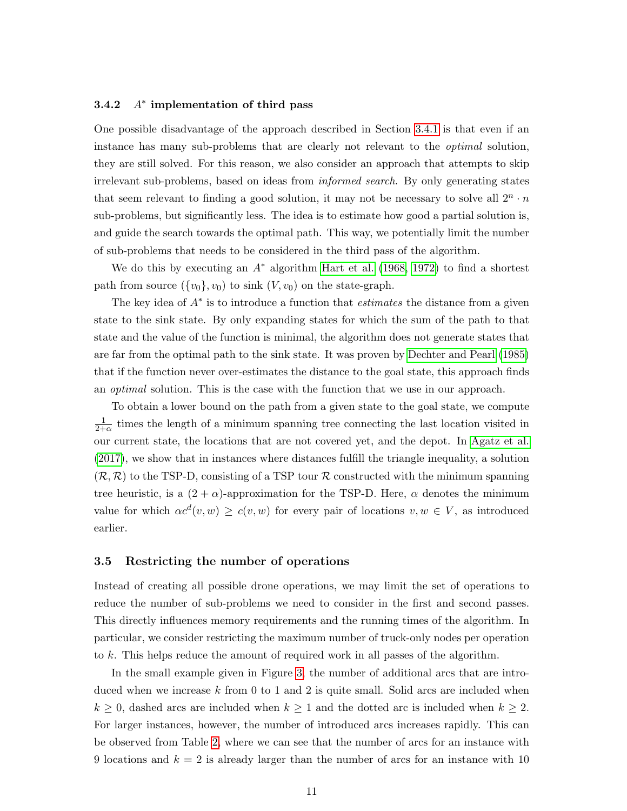#### <span id="page-10-0"></span> $3.4.2$  $A^*$  implementation of third pass

One possible disadvantage of the approach described in Section [3.4.1](#page-8-0) is that even if an instance has many sub-problems that are clearly not relevant to the optimal solution, they are still solved. For this reason, we also consider an approach that attempts to skip irrelevant sub-problems, based on ideas from informed search. By only generating states that seem relevant to finding a good solution, it may not be necessary to solve all  $2^n \cdot n$ sub-problems, but significantly less. The idea is to estimate how good a partial solution is, and guide the search towards the optimal path. This way, we potentially limit the number of sub-problems that needs to be considered in the third pass of the algorithm.

We do this by executing an  $A^*$  algorithm [Hart et al.](#page-22-9) [\(1968,](#page-22-9) [1972\)](#page-22-10) to find a shortest path from source  $({v_0}, v_0)$  to sink  $(V, v_0)$  on the state-graph.

The key idea of  $A^*$  is to introduce a function that *estimates* the distance from a given state to the sink state. By only expanding states for which the sum of the path to that state and the value of the function is minimal, the algorithm does not generate states that are far from the optimal path to the sink state. It was proven by [Dechter and Pearl](#page-21-6) [\(1985\)](#page-21-6) that if the function never over-estimates the distance to the goal state, this approach finds an optimal solution. This is the case with the function that we use in our approach.

To obtain a lower bound on the path from a given state to the goal state, we compute 1  $\frac{1}{2+\alpha}$  times the length of a minimum spanning tree connecting the last location visited in our current state, the locations that are not covered yet, and the depot. In [Agatz et al.](#page-21-1) [\(2017\)](#page-21-1), we show that in instances where distances fulfill the triangle inequality, a solution  $(\mathcal{R}, \mathcal{R})$  to the TSP-D, consisting of a TSP tour  $\mathcal R$  constructed with the minimum spanning tree heuristic, is a  $(2 + \alpha)$ -approximation for the TSP-D. Here,  $\alpha$  denotes the minimum value for which  $\alpha c^d(v, w) \geq c(v, w)$  for every pair of locations  $v, w \in V$ , as introduced earlier.

#### <span id="page-10-1"></span>3.5 Restricting the number of operations

Instead of creating all possible drone operations, we may limit the set of operations to reduce the number of sub-problems we need to consider in the first and second passes. This directly influences memory requirements and the running times of the algorithm. In particular, we consider restricting the maximum number of truck-only nodes per operation to k. This helps reduce the amount of required work in all passes of the algorithm.

In the small example given in Figure [3,](#page-12-0) the number of additional arcs that are introduced when we increase  $k$  from 0 to 1 and 2 is quite small. Solid arcs are included when  $k \geq 0$ , dashed arcs are included when  $k \geq 1$  and the dotted arc is included when  $k \geq 2$ . For larger instances, however, the number of introduced arcs increases rapidly. This can be observed from Table [2,](#page-11-0) where we can see that the number of arcs for an instance with 9 locations and  $k = 2$  is already larger than the number of arcs for an instance with 10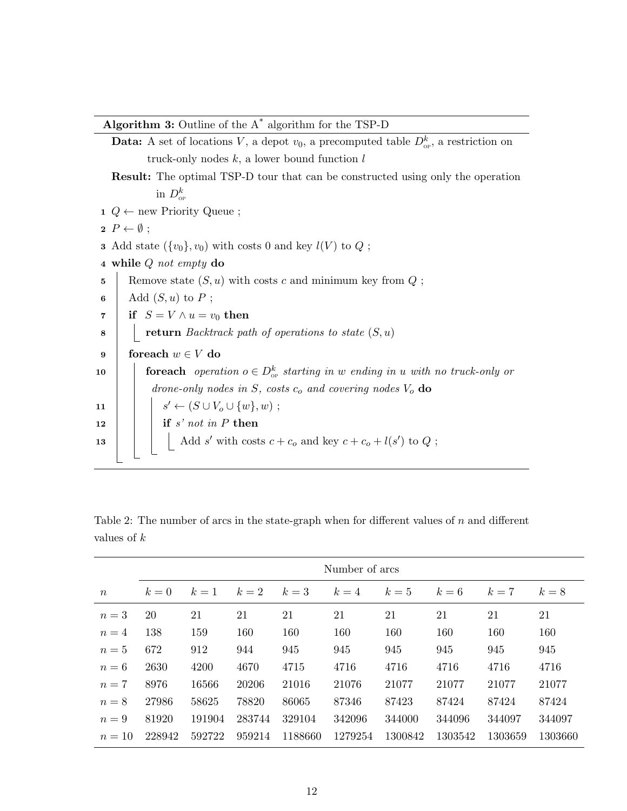| <b>Algorithm 3:</b> Outline of the $A^*$ algorithm for the TSP-D |  |  |  |
|------------------------------------------------------------------|--|--|--|
|------------------------------------------------------------------|--|--|--|

| $\frac{1}{2}$ of $\frac{1}{2}$ and $\frac{1}{2}$ and $\frac{1}{2}$ and $\frac{1}{2}$ and $\frac{1}{2}$ and $\frac{1}{2}$ and $\frac{1}{2}$ |
|--------------------------------------------------------------------------------------------------------------------------------------------|
| <b>Data:</b> A set of locations V, a depot $v_0$ , a precomputed table $D_{o_{\mathcal{P}}}^k$ , a restriction on                          |
| truck-only nodes $k$ , a lower bound function $l$                                                                                          |
| <b>Result:</b> The optimal TSP-D tour that can be constructed using only the operation                                                     |
| in $D_{op}^k$                                                                                                                              |
| $1 \ Q \leftarrow \text{new Priority Queue};$                                                                                              |
| $2 P \leftarrow \emptyset$ ;                                                                                                               |
| <b>3</b> Add state $({v_0}, v_0)$ with costs 0 and key $l(V)$ to Q;                                                                        |
| 4 while $Q$ not empty do                                                                                                                   |
| Remove state $(S, u)$ with costs c and minimum key from Q;<br>5                                                                            |
| Add $(S, u)$ to P;<br>6                                                                                                                    |
| if $S = V \wedge u = v_0$ then<br>7                                                                                                        |
| return Backtrack path of operations to state $(S, u)$<br>8                                                                                 |
| foreach $w \in V$ do<br>9                                                                                                                  |
| <b>foreach</b> operation $o \in D^k_{op}$ starting in w ending in u with no truck-only or<br>10                                            |
| drone-only nodes in S, costs $c_0$ and covering nodes $V_0$ do                                                                             |
| $s' \leftarrow (S \cup V_o \cup \{w\}, w)$ ;<br>11                                                                                         |
| if $s'$ not in $P$ then<br>12                                                                                                              |
| Add $s'$ with costs $c+c_o$ and key $c+c_o+l(s')$ to $Q$ ;<br>13                                                                           |
|                                                                                                                                            |

<span id="page-11-0"></span>Table 2: The number of arcs in the state-graph when for different values of  $n$  and different values of  $\boldsymbol{k}$ 

|                  | Number of arcs |        |        |         |         |         |         |         |         |  |  |  |
|------------------|----------------|--------|--------|---------|---------|---------|---------|---------|---------|--|--|--|
| $\boldsymbol{n}$ | $k=0$          | $k=1$  | $k=2$  | $k=3$   | $k=4$   | $k=5$   | $k=6$   | $k=7$   | $k=8$   |  |  |  |
| $n=3$            | 20             | 21     | 21     | 21      | 21      | 21      | 21      | 21      | 21      |  |  |  |
| $n=4$            | 138            | 159    | 160    | 160     | 160     | 160     | 160     | 160     | 160     |  |  |  |
| $n=5$            | 672            | 912    | 944    | 945     | 945     | 945     | 945     | 945     | 945     |  |  |  |
| $n=6$            | 2630           | 4200   | 4670   | 4715    | 4716    | 4716    | 4716    | 4716    | 4716    |  |  |  |
| $n=7$            | 8976           | 16566  | 20206  | 21016   | 21076   | 21077   | 21077   | 21077   | 21077   |  |  |  |
| $n=8$            | 27986          | 58625  | 78820  | 86065   | 87346   | 87423   | 87424   | 87424   | 87424   |  |  |  |
| $n=9$            | 81920          | 191904 | 283744 | 329104  | 342096  | 344000  | 344096  | 344097  | 344097  |  |  |  |
| $n=10$           | 228942         | 592722 | 959214 | 1188660 | 1279254 | 1300842 | 1303542 | 1303659 | 1303660 |  |  |  |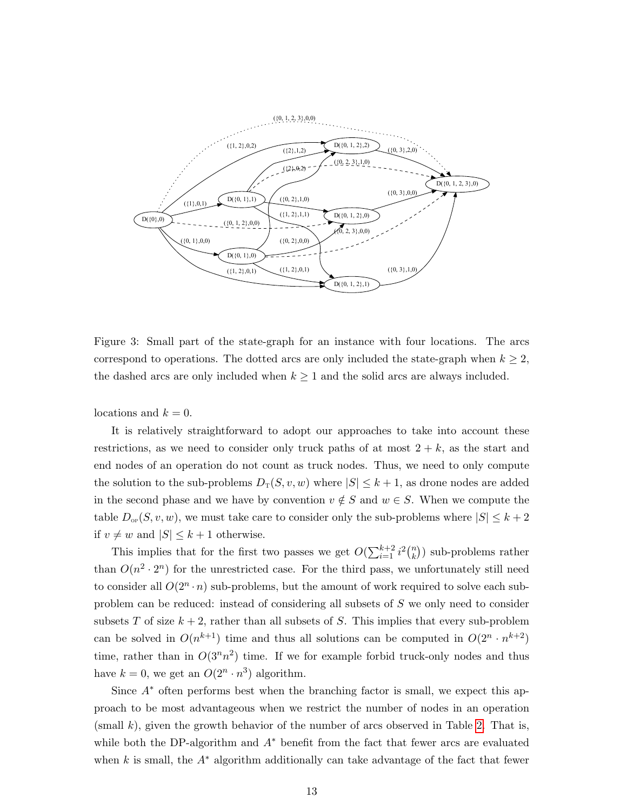<span id="page-12-0"></span>

Figure 3: Small part of the state-graph for an instance with four locations. The arcs correspond to operations. The dotted arcs are only included the state-graph when  $k \geq 2$ , the dashed arcs are only included when  $k \geq 1$  and the solid arcs are always included.

locations and  $k = 0$ .

It is relatively straightforward to adopt our approaches to take into account these restrictions, as we need to consider only truck paths of at most  $2 + k$ , as the start and end nodes of an operation do not count as truck nodes. Thus, we need to only compute the solution to the sub-problems  $D_T(S, v, w)$  where  $|S| \leq k+1$ , as drone nodes are added in the second phase and we have by convention  $v \notin S$  and  $w \in S$ . When we compute the table  $D_{op}(S, v, w)$ , we must take care to consider only the sub-problems where  $|S| \leq k + 2$ if  $v \neq w$  and  $|S| \leq k+1$  otherwise.

This implies that for the first two passes we get  $O(\sum_{i=1}^{k+2} i^2 {n \choose k}$  $\binom{n}{k}$ ) sub-problems rather than  $O(n^2 \cdot 2^n)$  for the unrestricted case. For the third pass, we unfortunately still need to consider all  $O(2^n \cdot n)$  sub-problems, but the amount of work required to solve each subproblem can be reduced: instead of considering all subsets of S we only need to consider subsets T of size  $k + 2$ , rather than all subsets of S. This implies that every sub-problem can be solved in  $O(n^{k+1})$  time and thus all solutions can be computed in  $O(2^n \cdot n^{k+2})$ time, rather than in  $O(3^n n^2)$  time. If we for example forbid truck-only nodes and thus have  $k = 0$ , we get an  $O(2^n \cdot n^3)$  algorithm.

Since  $A^*$  often performs best when the branching factor is small, we expect this approach to be most advantageous when we restrict the number of nodes in an operation (small  $k$ ), given the growth behavior of the number of arcs observed in Table [2.](#page-11-0) That is, while both the DP-algorithm and  $A^*$  benefit from the fact that fewer arcs are evaluated when k is small, the  $A^*$  algorithm additionally can take advantage of the fact that fewer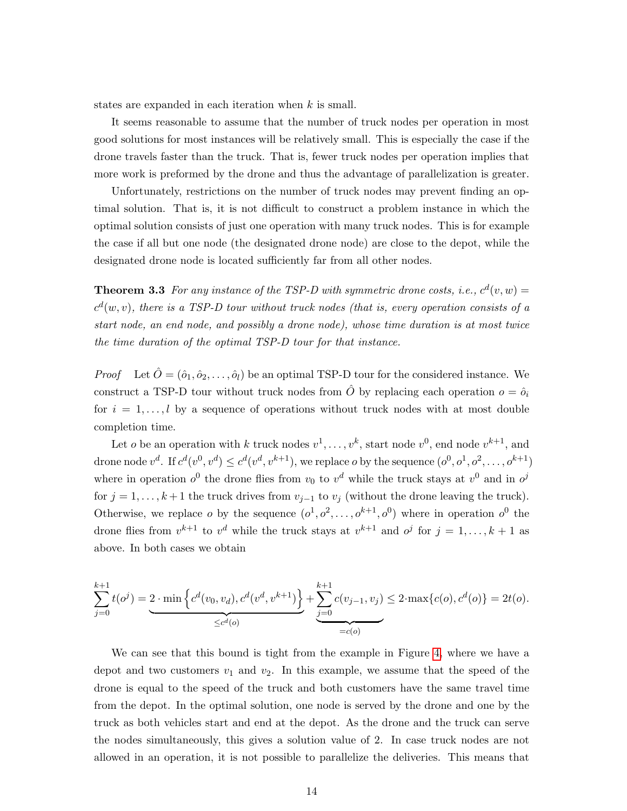states are expanded in each iteration when k is small.

It seems reasonable to assume that the number of truck nodes per operation in most good solutions for most instances will be relatively small. This is especially the case if the drone travels faster than the truck. That is, fewer truck nodes per operation implies that more work is preformed by the drone and thus the advantage of parallelization is greater.

Unfortunately, restrictions on the number of truck nodes may prevent finding an optimal solution. That is, it is not difficult to construct a problem instance in which the optimal solution consists of just one operation with many truck nodes. This is for example the case if all but one node (the designated drone node) are close to the depot, while the designated drone node is located sufficiently far from all other nodes.

<span id="page-13-0"></span>**Theorem 3.3** For any instance of the TSP-D with symmetric drone costs, i.e.,  $c^d(v, w) =$  $c^d(w, v)$ , there is a TSP-D tour without truck nodes (that is, every operation consists of a start node, an end node, and possibly a drone node), whose time duration is at most twice the time duration of the optimal TSP-D tour for that instance.

*Proof* Let  $\hat{O} = (\hat{o}_1, \hat{o}_2, \dots, \hat{o}_l)$  be an optimal TSP-D tour for the considered instance. We construct a TSP-D tour without truck nodes from  $\hat{O}$  by replacing each operation  $o = \hat{o}_i$ for  $i = 1, \ldots, l$  by a sequence of operations without truck nodes with at most double completion time.

Let *o* be an operation with *k* truck nodes  $v^1, \ldots, v^k$ , start node  $v^0$ , end node  $v^{k+1}$ , and drone node  $v^d$ . If  $c^d(v^0, v^d) \leq c^d(v^d, v^{k+1})$ , we replace *o* by the sequence  $(o^0, o^1, o^2, \ldots, o^{k+1})$ where in operation  $o^0$  the drone flies from  $v_0$  to  $v^d$  while the truck stays at  $v^0$  and in  $o^j$ for  $j = 1, \ldots, k+1$  the truck drives from  $v_{j-1}$  to  $v_j$  (without the drone leaving the truck). Otherwise, we replace o by the sequence  $(o^1, o^2, \ldots, o^{k+1}, o^0)$  where in operation  $o^0$  the drone flies from  $v^{k+1}$  to  $v^d$  while the truck stays at  $v^{k+1}$  and  $o^j$  for  $j = 1, \ldots, k+1$  as above. In both cases we obtain

$$
\sum_{j=0}^{k+1} t(o^j) = 2 \cdot \min \left\{ c^d(v_0, v_d), c^d(v^d, v^{k+1}) \right\} + \sum_{j=0}^{k+1} c(v_{j-1}, v_j) \le 2 \cdot \max \{ c(o), c^d(o) \} = 2t(o).
$$

We can see that this bound is tight from the example in Figure [4,](#page-14-1) where we have a depot and two customers  $v_1$  and  $v_2$ . In this example, we assume that the speed of the drone is equal to the speed of the truck and both customers have the same travel time from the depot. In the optimal solution, one node is served by the drone and one by the truck as both vehicles start and end at the depot. As the drone and the truck can serve the nodes simultaneously, this gives a solution value of 2. In case truck nodes are not allowed in an operation, it is not possible to parallelize the deliveries. This means that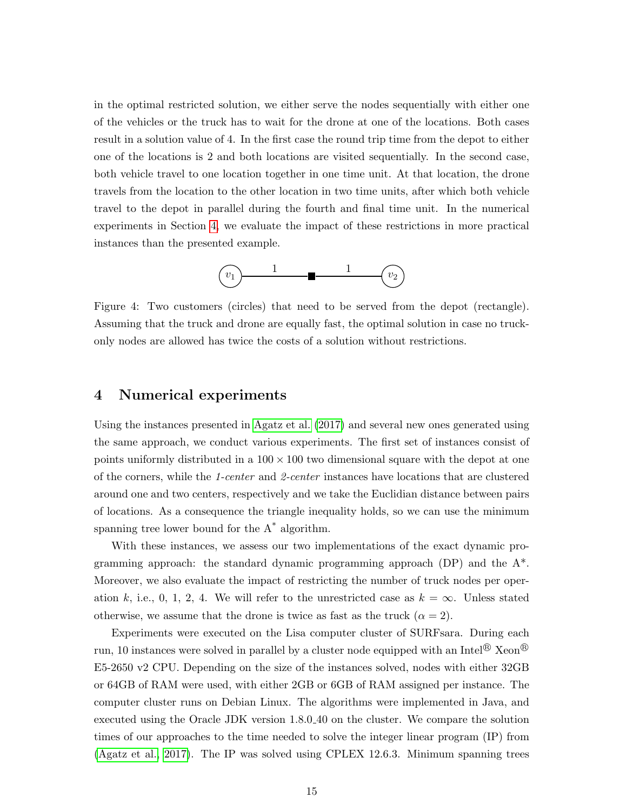in the optimal restricted solution, we either serve the nodes sequentially with either one of the vehicles or the truck has to wait for the drone at one of the locations. Both cases result in a solution value of 4. In the first case the round trip time from the depot to either one of the locations is 2 and both locations are visited sequentially. In the second case, both vehicle travel to one location together in one time unit. At that location, the drone travels from the location to the other location in two time units, after which both vehicle travel to the depot in parallel during the fourth and final time unit. In the numerical experiments in Section [4,](#page-14-0) we evaluate the impact of these restrictions in more practical instances than the presented example.



<span id="page-14-1"></span>Figure 4: Two customers (circles) that need to be served from the depot (rectangle). Assuming that the truck and drone are equally fast, the optimal solution in case no truckonly nodes are allowed has twice the costs of a solution without restrictions.

# <span id="page-14-0"></span>4 Numerical experiments

Using the instances presented in [Agatz et al.](#page-21-1) [\(2017\)](#page-21-1) and several new ones generated using the same approach, we conduct various experiments. The first set of instances consist of points uniformly distributed in a  $100 \times 100$  two dimensional square with the depot at one of the corners, while the 1-center and 2-center instances have locations that are clustered around one and two centers, respectively and we take the Euclidian distance between pairs of locations. As a consequence the triangle inequality holds, so we can use the minimum spanning tree lower bound for the  $A^*$  algorithm.

With these instances, we assess our two implementations of the exact dynamic programming approach: the standard dynamic programming approach (DP) and the A\*. Moreover, we also evaluate the impact of restricting the number of truck nodes per operation k, i.e., 0, 1, 2, 4. We will refer to the unrestricted case as  $k = \infty$ . Unless stated otherwise, we assume that the drone is twice as fast as the truck  $(\alpha = 2)$ .

Experiments were executed on the Lisa computer cluster of SURFsara. During each run, 10 instances were solved in parallel by a cluster node equipped with an Intel<sup>®</sup> Xeon<sup>®</sup> E5-2650 v2 CPU. Depending on the size of the instances solved, nodes with either 32GB or 64GB of RAM were used, with either 2GB or 6GB of RAM assigned per instance. The computer cluster runs on Debian Linux. The algorithms were implemented in Java, and executed using the Oracle JDK version 1.8.0 40 on the cluster. We compare the solution times of our approaches to the time needed to solve the integer linear program (IP) from [\(Agatz et al., 2017\)](#page-21-1). The IP was solved using CPLEX 12.6.3. Minimum spanning trees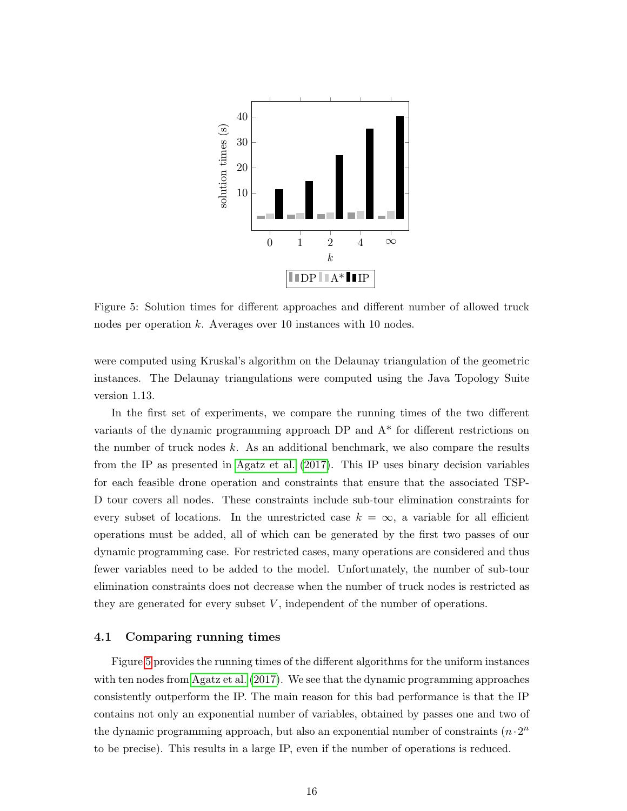<span id="page-15-0"></span>

Figure 5: Solution times for different approaches and different number of allowed truck nodes per operation k. Averages over 10 instances with 10 nodes.

were computed using Kruskal's algorithm on the Delaunay triangulation of the geometric instances. The Delaunay triangulations were computed using the Java Topology Suite version 1.13.

In the first set of experiments, we compare the running times of the two different variants of the dynamic programming approach  $DP$  and  $A^*$  for different restrictions on the number of truck nodes  $k$ . As an additional benchmark, we also compare the results from the IP as presented in [Agatz et al.](#page-21-1) [\(2017\)](#page-21-1). This IP uses binary decision variables for each feasible drone operation and constraints that ensure that the associated TSP-D tour covers all nodes. These constraints include sub-tour elimination constraints for every subset of locations. In the unrestricted case  $k = \infty$ , a variable for all efficient operations must be added, all of which can be generated by the first two passes of our dynamic programming case. For restricted cases, many operations are considered and thus fewer variables need to be added to the model. Unfortunately, the number of sub-tour elimination constraints does not decrease when the number of truck nodes is restricted as they are generated for every subset  $V$ , independent of the number of operations.

#### 4.1 Comparing running times

Figure [5](#page-15-0) provides the running times of the different algorithms for the uniform instances with ten nodes from [Agatz et al.](#page-21-1) [\(2017\)](#page-21-1). We see that the dynamic programming approaches consistently outperform the IP. The main reason for this bad performance is that the IP contains not only an exponential number of variables, obtained by passes one and two of the dynamic programming approach, but also an exponential number of constraints  $(n \cdot 2^n)$ to be precise). This results in a large IP, even if the number of operations is reduced.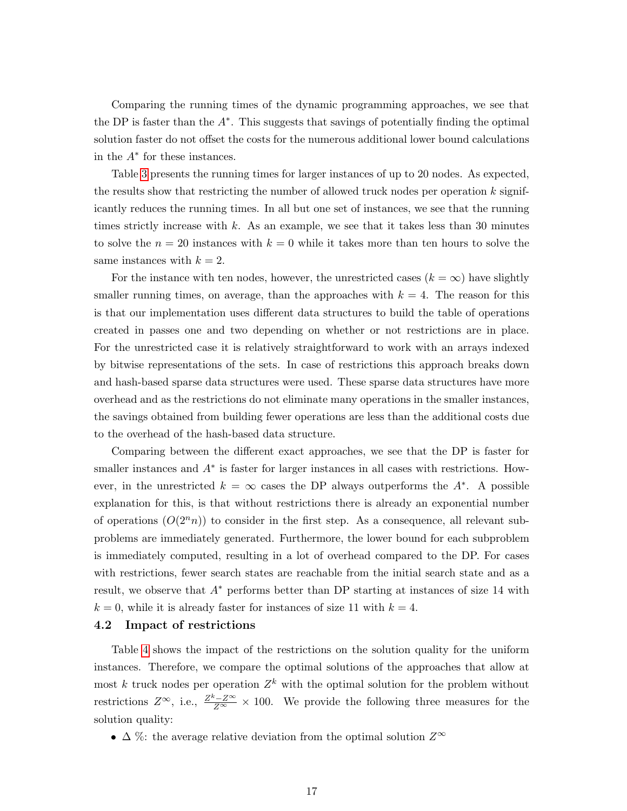Comparing the running times of the dynamic programming approaches, we see that the DP is faster than the  $A^*$ . This suggests that savings of potentially finding the optimal solution faster do not offset the costs for the numerous additional lower bound calculations in the  $A^*$  for these instances.

Table [3](#page-17-0) presents the running times for larger instances of up to 20 nodes. As expected, the results show that restricting the number of allowed truck nodes per operation  $k$  significantly reduces the running times. In all but one set of instances, we see that the running times strictly increase with  $k$ . As an example, we see that it takes less than 30 minutes to solve the  $n = 20$  instances with  $k = 0$  while it takes more than ten hours to solve the same instances with  $k = 2$ .

For the instance with ten nodes, however, the unrestricted cases  $(k = \infty)$  have slightly smaller running times, on average, than the approaches with  $k = 4$ . The reason for this is that our implementation uses different data structures to build the table of operations created in passes one and two depending on whether or not restrictions are in place. For the unrestricted case it is relatively straightforward to work with an arrays indexed by bitwise representations of the sets. In case of restrictions this approach breaks down and hash-based sparse data structures were used. These sparse data structures have more overhead and as the restrictions do not eliminate many operations in the smaller instances, the savings obtained from building fewer operations are less than the additional costs due to the overhead of the hash-based data structure.

Comparing between the different exact approaches, we see that the DP is faster for smaller instances and  $A^*$  is faster for larger instances in all cases with restrictions. However, in the unrestricted  $k = \infty$  cases the DP always outperforms the A<sup>\*</sup>. A possible explanation for this, is that without restrictions there is already an exponential number of operations  $(O(2<sup>n</sup>n))$  to consider in the first step. As a consequence, all relevant subproblems are immediately generated. Furthermore, the lower bound for each subproblem is immediately computed, resulting in a lot of overhead compared to the DP. For cases with restrictions, fewer search states are reachable from the initial search state and as a result, we observe that  $A^*$  performs better than DP starting at instances of size 14 with  $k = 0$ , while it is already faster for instances of size 11 with  $k = 4$ .

#### 4.2 Impact of restrictions

Table [4](#page-18-0) shows the impact of the restrictions on the solution quality for the uniform instances. Therefore, we compare the optimal solutions of the approaches that allow at most k truck nodes per operation  $Z^k$  with the optimal solution for the problem without restrictions  $Z^{\infty}$ , i.e.,  $\frac{Z^{k}-Z^{\infty}}{Z^{\infty}} \times 100$ . We provide the following three measures for the solution quality:

•  $\Delta \%$ : the average relative deviation from the optimal solution  $Z^{\infty}$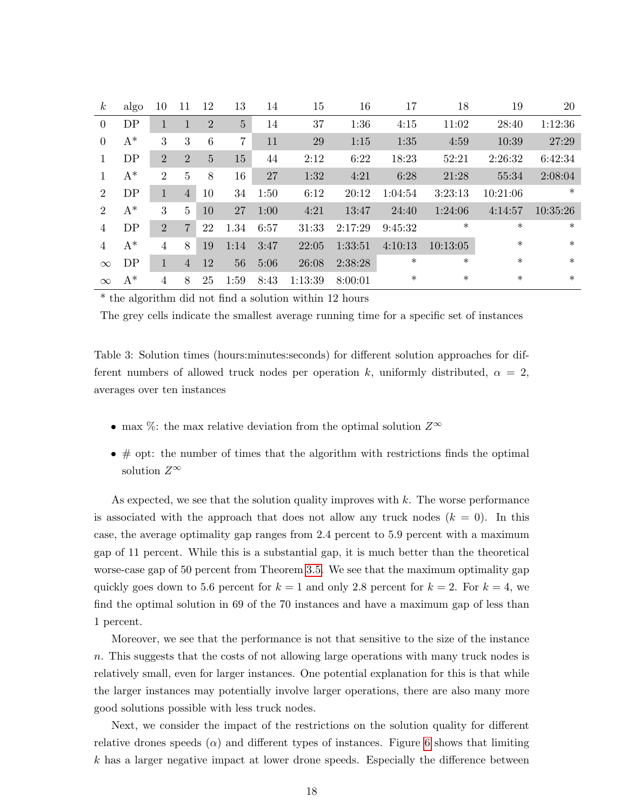<span id="page-17-0"></span>

| $\boldsymbol{k}$            | algo  | 10             | 11             | 12             | 13             | 14   | 15      | 16      | 17      | 18       | 19       | 20       |
|-----------------------------|-------|----------------|----------------|----------------|----------------|------|---------|---------|---------|----------|----------|----------|
| $\overline{0}$              | DP    | 1              |                | $\overline{2}$ | $\overline{5}$ | 14   | 37      | 1:36    | 4:15    | 11:02    | 28:40    | 1:12:36  |
| $\theta$                    | $A^*$ | 3              | 3              | 6              | $\overline{7}$ | 11   | 29      | 1:15    | 1:35    | 4:59     | 10:39    | 27:29    |
|                             | DP    | $\overline{2}$ | $\overline{2}$ | $\overline{5}$ | 15             | 44   | 2:12    | 6:22    | 18:23   | 52:21    | 2:26:32  | 6:42:34  |
|                             | $A^*$ | $\overline{2}$ | $\overline{5}$ | 8              | 16             | 27   | 1:32    | 4:21    | 6:28    | 21:28    | 55:34    | 2:08:04  |
| $\mathcal{D}_{\mathcal{L}}$ | DP    | $\mathbf{1}$   | $\overline{4}$ | 10             | 34             | 1:50 | 6:12    | 20:12   | 1:04:54 | 3:23:13  | 10:21:06 | $\ast$   |
| $\mathcal{D}_{\mathcal{L}}$ | $A^*$ | 3              | $\overline{5}$ | 10             | 27             | 1:00 | 4:21    | 13:47   | 24:40   | 1:24:06  | 4:14:57  | 10:35:26 |
| 4                           | DP    | $\overline{2}$ | $\overline{7}$ | 22             | 1.34           | 6:57 | 31:33   | 2:17:29 | 9:45:32 | $\ast$   | $\ast$   | $\ast$   |
| 4                           | $A^*$ | $\overline{4}$ | 8              | 19             | 1:14           | 3:47 | 22:05   | 1:33:51 | 4:10:13 | 10:13:05 | $\ast$   | $\ast$   |
| $\infty$                    | DP    | $\mathbf{1}$   | $\overline{4}$ | 12             | 56             | 5:06 | 26:08   | 2:38:28 | $\ast$  | $\ast$   | $\ast$   | $\ast$   |
| $\infty$                    | $A^*$ | 4              | 8              | 25             | 1:59           | 8:43 | 1:13:39 | 8:00:01 | $\ast$  | $\ast$   | $\ast$   | $\ast$   |

\* the algorithm did not find a solution within 12 hours

The grey cells indicate the smallest average running time for a specific set of instances

Table 3: Solution times (hours:minutes:seconds) for different solution approaches for different numbers of allowed truck nodes per operation k, uniformly distributed,  $\alpha = 2$ , averages over ten instances

- max %: the max relative deviation from the optimal solution  $Z^{\infty}$
- $\bullet$  # opt: the number of times that the algorithm with restrictions finds the optimal solution  $Z^{\infty}$

As expected, we see that the solution quality improves with  $k$ . The worse performance is associated with the approach that does not allow any truck nodes  $(k = 0)$ . In this case, the average optimality gap ranges from 2.4 percent to 5.9 percent with a maximum gap of 11 percent. While this is a substantial gap, it is much better than the theoretical worse-case gap of 50 percent from Theorem [3.5.](#page-13-0) We see that the maximum optimality gap quickly goes down to 5.6 percent for  $k = 1$  and only 2.8 percent for  $k = 2$ . For  $k = 4$ , we find the optimal solution in 69 of the 70 instances and have a maximum gap of less than 1 percent.

Moreover, we see that the performance is not that sensitive to the size of the instance n. This suggests that the costs of not allowing large operations with many truck nodes is relatively small, even for larger instances. One potential explanation for this is that while the larger instances may potentially involve larger operations, there are also many more good solutions possible with less truck nodes.

Next, we consider the impact of the restrictions on the solution quality for different relative drones speeds  $(\alpha)$  and different types of instances. Figure [6](#page-19-0) shows that limiting k has a larger negative impact at lower drone speeds. Especially the difference between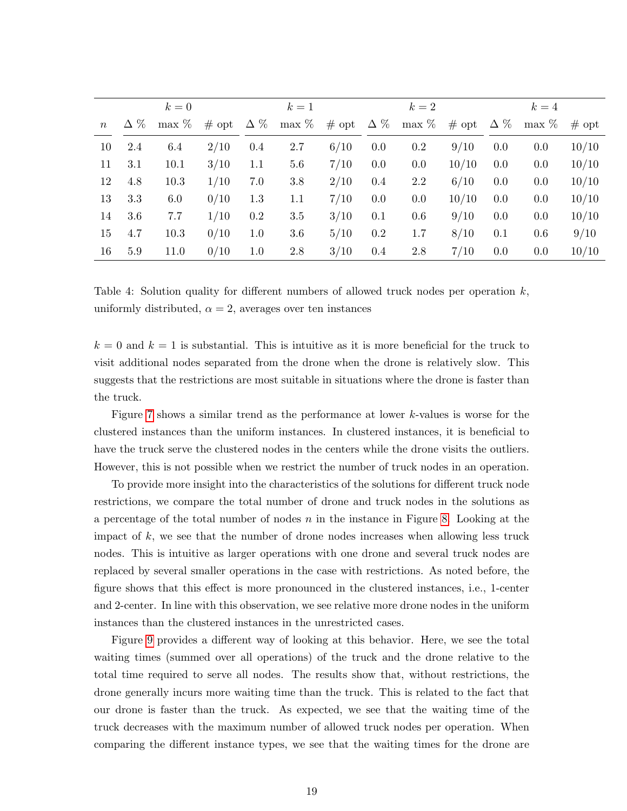<span id="page-18-0"></span>

|                  |             | $k=0$    |         | $k=1$       |          |         |             | $k=2$    |         | $k=4$       |          |         |
|------------------|-------------|----------|---------|-------------|----------|---------|-------------|----------|---------|-------------|----------|---------|
| $\boldsymbol{n}$ | $\Delta \%$ | $\max$ % | $#$ opt | $\Delta \%$ | $\max$ % | $#$ opt | $\Delta \%$ | $\max$ % | $#$ opt | $\Delta \%$ | $\max$ % | $#$ opt |
| 10               | 2.4         | 6.4      | 2/10    | 0.4         | 2.7      | 6/10    | 0.0         | 0.2      | 9/10    | 0.0         | 0.0      | 10/10   |
| 11               | 3.1         | 10.1     | 3/10    | 1.1         | 5.6      | 7/10    | 0.0         | 0.0      | 10/10   | 0.0         | 0.0      | 10/10   |
| 12               | 4.8         | 10.3     | 1/10    | 7.0         | 3.8      | 2/10    | 0.4         | 2.2      | 6/10    | 0.0         | 0.0      | 10/10   |
| 13               | 3.3         | 6.0      | 0/10    | 1.3         | 1.1      | 7/10    | 0.0         | 0.0      | 10/10   | 0.0         | 0.0      | 10/10   |
| 14               | 3.6         | 7.7      | 1/10    | 0.2         | 3.5      | 3/10    | 0.1         | 0.6      | 9/10    | 0.0         | 0.0      | 10/10   |
| 15               | 4.7         | 10.3     | 0/10    | 1.0         | 3.6      | 5/10    | 0.2         | 1.7      | 8/10    | 0.1         | 0.6      | 9/10    |
| 16               | 5.9         | 11.0     | 0/10    | 1.0         | 2.8      | 3/10    | 0.4         | 2.8      | 7/10    | 0.0         | 0.0      | 10/10   |

Table 4: Solution quality for different numbers of allowed truck nodes per operation  $k$ , uniformly distributed,  $\alpha = 2$ , averages over ten instances

 $k = 0$  and  $k = 1$  is substantial. This is intuitive as it is more beneficial for the truck to visit additional nodes separated from the drone when the drone is relatively slow. This suggests that the restrictions are most suitable in situations where the drone is faster than the truck.

Figure [7](#page-19-1) shows a similar trend as the performance at lower k-values is worse for the clustered instances than the uniform instances. In clustered instances, it is beneficial to have the truck serve the clustered nodes in the centers while the drone visits the outliers. However, this is not possible when we restrict the number of truck nodes in an operation.

To provide more insight into the characteristics of the solutions for different truck node restrictions, we compare the total number of drone and truck nodes in the solutions as a percentage of the total number of nodes  $n$  in the instance in Figure [8.](#page-20-1) Looking at the impact of  $k$ , we see that the number of drone nodes increases when allowing less truck nodes. This is intuitive as larger operations with one drone and several truck nodes are replaced by several smaller operations in the case with restrictions. As noted before, the figure shows that this effect is more pronounced in the clustered instances, i.e., 1-center and 2-center. In line with this observation, we see relative more drone nodes in the uniform instances than the clustered instances in the unrestricted cases.

Figure [9](#page-21-7) provides a different way of looking at this behavior. Here, we see the total waiting times (summed over all operations) of the truck and the drone relative to the total time required to serve all nodes. The results show that, without restrictions, the drone generally incurs more waiting time than the truck. This is related to the fact that our drone is faster than the truck. As expected, we see that the waiting time of the truck decreases with the maximum number of allowed truck nodes per operation. When comparing the different instance types, we see that the waiting times for the drone are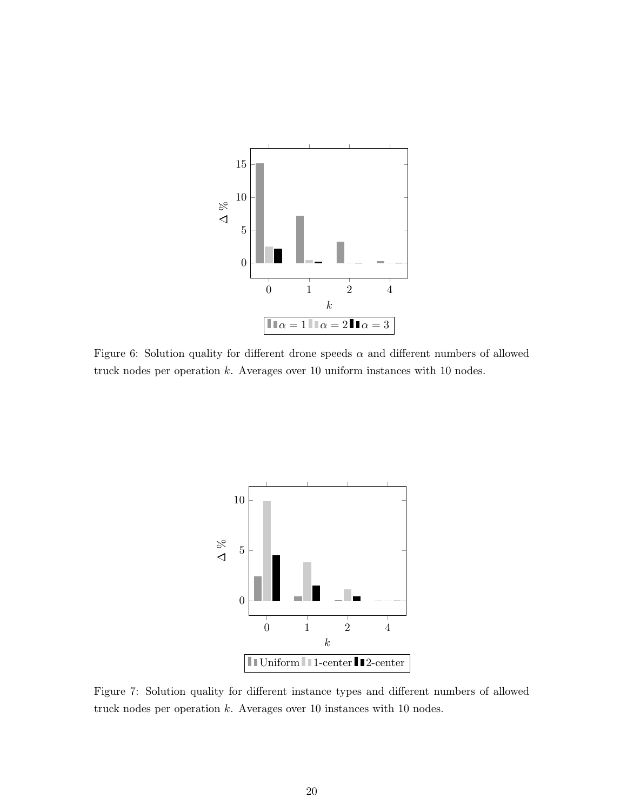<span id="page-19-0"></span>

Figure 6: Solution quality for different drone speeds  $\alpha$  and different numbers of allowed truck nodes per operation  $k$ . Averages over 10 uniform instances with 10 nodes.

<span id="page-19-1"></span>

Figure 7: Solution quality for different instance types and different numbers of allowed truck nodes per operation k. Averages over 10 instances with 10 nodes.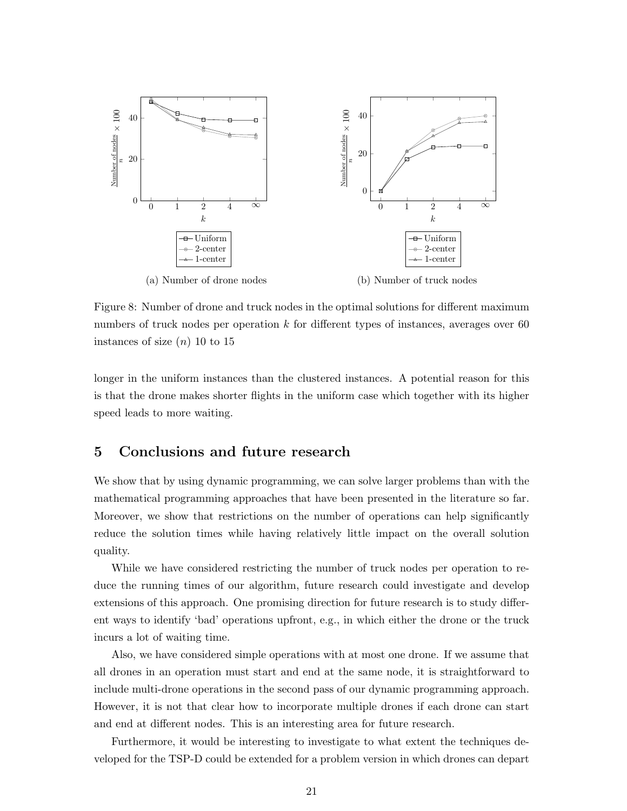<span id="page-20-1"></span>

Figure 8: Number of drone and truck nodes in the optimal solutions for different maximum numbers of truck nodes per operation k for different types of instances, averages over 60 instances of size  $(n)$  10 to 15

longer in the uniform instances than the clustered instances. A potential reason for this is that the drone makes shorter flights in the uniform case which together with its higher speed leads to more waiting.

# <span id="page-20-0"></span>5 Conclusions and future research

We show that by using dynamic programming, we can solve larger problems than with the mathematical programming approaches that have been presented in the literature so far. Moreover, we show that restrictions on the number of operations can help significantly reduce the solution times while having relatively little impact on the overall solution quality.

While we have considered restricting the number of truck nodes per operation to reduce the running times of our algorithm, future research could investigate and develop extensions of this approach. One promising direction for future research is to study different ways to identify 'bad' operations upfront, e.g., in which either the drone or the truck incurs a lot of waiting time.

Also, we have considered simple operations with at most one drone. If we assume that all drones in an operation must start and end at the same node, it is straightforward to include multi-drone operations in the second pass of our dynamic programming approach. However, it is not that clear how to incorporate multiple drones if each drone can start and end at different nodes. This is an interesting area for future research.

Furthermore, it would be interesting to investigate to what extent the techniques developed for the TSP-D could be extended for a problem version in which drones can depart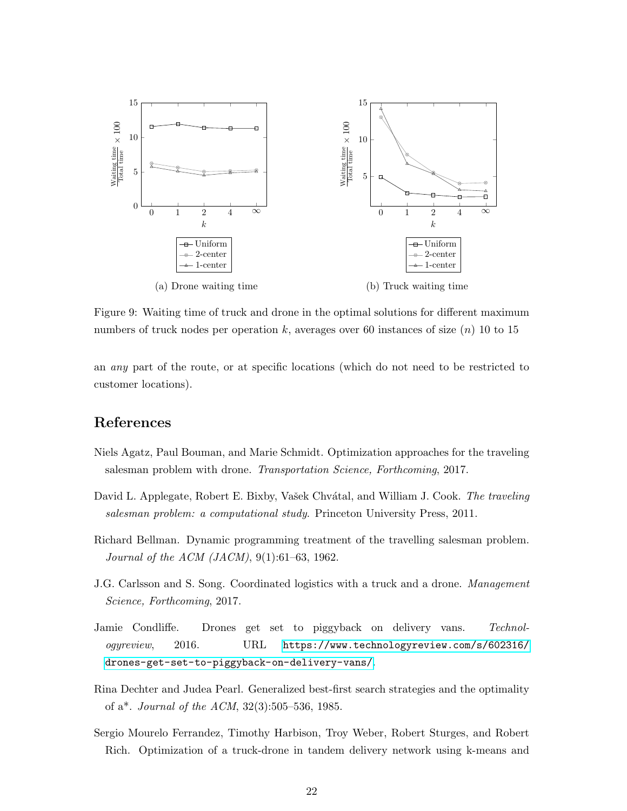<span id="page-21-7"></span>

Figure 9: Waiting time of truck and drone in the optimal solutions for different maximum numbers of truck nodes per operation k, averages over 60 instances of size  $(n)$  10 to 15

an any part of the route, or at specific locations (which do not need to be restricted to customer locations).

# References

- <span id="page-21-1"></span>Niels Agatz, Paul Bouman, and Marie Schmidt. Optimization approaches for the traveling salesman problem with drone. Transportation Science, Forthcoming, 2017.
- <span id="page-21-4"></span>David L. Applegate, Robert E. Bixby, Vašek Chvátal, and William J. Cook. The traveling salesman problem: a computational study. Princeton University Press, 2011.
- <span id="page-21-3"></span>Richard Bellman. Dynamic programming treatment of the travelling salesman problem. Journal of the ACM (JACM), 9(1):61–63, 1962.
- <span id="page-21-2"></span>J.G. Carlsson and S. Song. Coordinated logistics with a truck and a drone. Management Science, Forthcoming, 2017.
- <span id="page-21-0"></span>Jamie Condliffe. Drones get set to piggyback on delivery vans. Technologyreview, 2016. URL [https://www.technologyreview.com/s/602316/](https://www.technologyreview.com/s/602316/drones-get-set-to-piggyback-on-delivery-vans/) [drones-get-set-to-piggyback-on-delivery-vans/](https://www.technologyreview.com/s/602316/drones-get-set-to-piggyback-on-delivery-vans/).
- <span id="page-21-6"></span>Rina Dechter and Judea Pearl. Generalized best-first search strategies and the optimality of a\*. Journal of the ACM, 32(3):505–536, 1985.
- <span id="page-21-5"></span>Sergio Mourelo Ferrandez, Timothy Harbison, Troy Weber, Robert Sturges, and Robert Rich. Optimization of a truck-drone in tandem delivery network using k-means and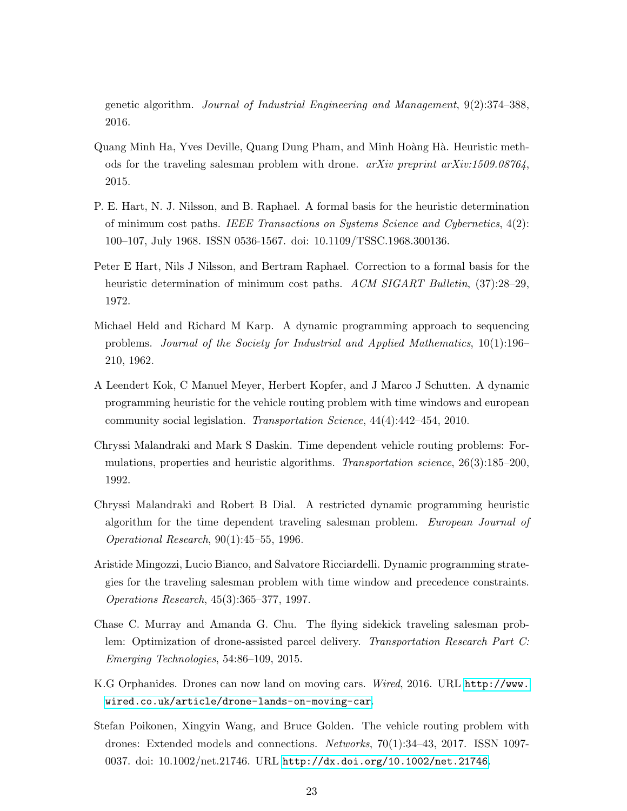genetic algorithm. Journal of Industrial Engineering and Management, 9(2):374–388, 2016.

- <span id="page-22-5"></span>Quang Minh Ha, Yves Deville, Quang Dung Pham, and Minh Hoàng Hà. Heuristic methods for the traveling salesman problem with drone. arXiv preprint arXiv:1509.08764, 2015.
- <span id="page-22-9"></span>P. E. Hart, N. J. Nilsson, and B. Raphael. A formal basis for the heuristic determination of minimum cost paths. IEEE Transactions on Systems Science and Cybernetics, 4(2): 100–107, July 1968. ISSN 0536-1567. doi: 10.1109/TSSC.1968.300136.
- <span id="page-22-10"></span>Peter E Hart, Nils J Nilsson, and Bertram Raphael. Correction to a formal basis for the heuristic determination of minimum cost paths. ACM SIGART Bulletin, (37):28–29, 1972.
- <span id="page-22-1"></span>Michael Held and Richard M Karp. A dynamic programming approach to sequencing problems. Journal of the Society for Industrial and Applied Mathematics, 10(1):196– 210, 1962.
- <span id="page-22-7"></span>A Leendert Kok, C Manuel Meyer, Herbert Kopfer, and J Marco J Schutten. A dynamic programming heuristic for the vehicle routing problem with time windows and european community social legislation. Transportation Science, 44(4):442–454, 2010.
- <span id="page-22-2"></span>Chryssi Malandraki and Mark S Daskin. Time dependent vehicle routing problems: Formulations, properties and heuristic algorithms. Transportation science, 26(3):185–200, 1992.
- <span id="page-22-6"></span>Chryssi Malandraki and Robert B Dial. A restricted dynamic programming heuristic algorithm for the time dependent traveling salesman problem. European Journal of Operational Research, 90(1):45–55, 1996.
- <span id="page-22-3"></span>Aristide Mingozzi, Lucio Bianco, and Salvatore Ricciardelli. Dynamic programming strategies for the traveling salesman problem with time window and precedence constraints. Operations Research, 45(3):365–377, 1997.
- <span id="page-22-4"></span>Chase C. Murray and Amanda G. Chu. The flying sidekick traveling salesman problem: Optimization of drone-assisted parcel delivery. Transportation Research Part C: Emerging Technologies, 54:86–109, 2015.
- <span id="page-22-8"></span>K.G Orphanides. Drones can now land on moving cars. Wired, 2016. URL [http://www.](http://www.wired.co.uk/article/drone-lands-on-moving-car) [wired.co.uk/article/drone-lands-on-moving-car](http://www.wired.co.uk/article/drone-lands-on-moving-car).
- <span id="page-22-0"></span>Stefan Poikonen, Xingyin Wang, and Bruce Golden. The vehicle routing problem with drones: Extended models and connections. Networks, 70(1):34–43, 2017. ISSN 1097- 0037. doi: 10.1002/net.21746. URL <http://dx.doi.org/10.1002/net.21746>.